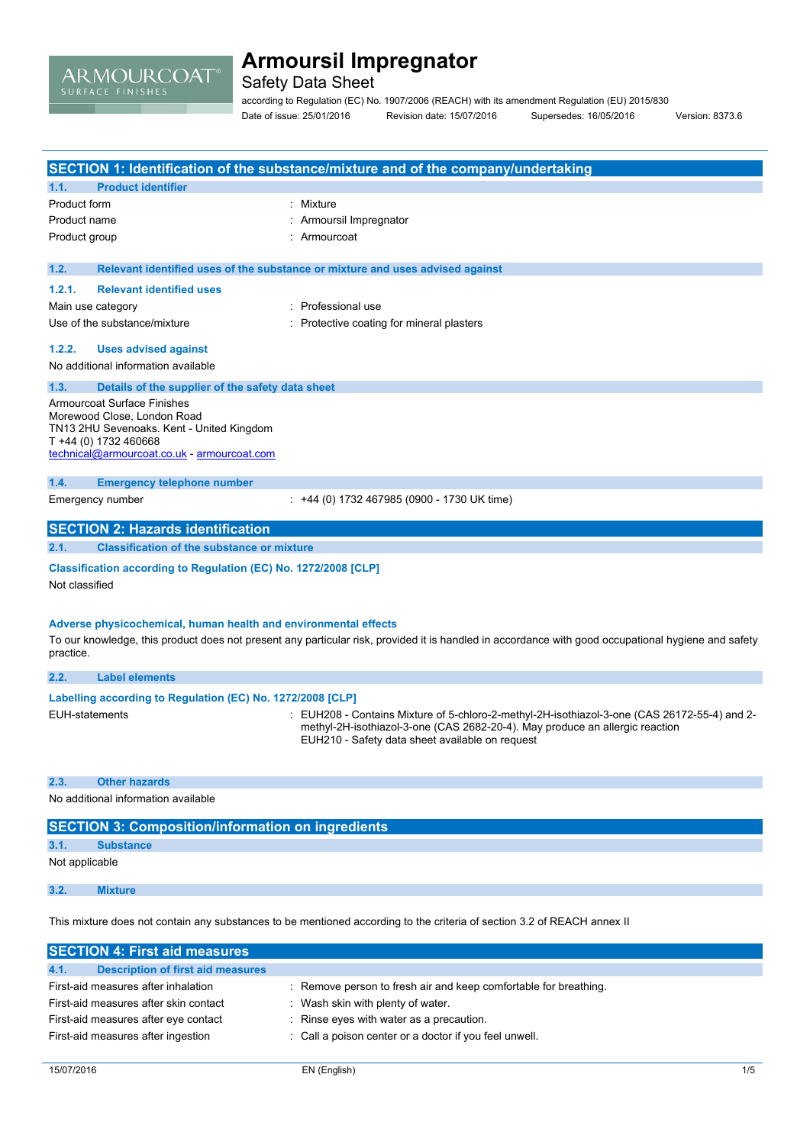

Safety Data Sheet

according to Regulation (EC) No. 1907/2006 (REACH) with its amendment Regulation (EU) 2015/830 Date of issue: 25/01/2016 Revision date: 15/07/2016 Supersedes: 16/05/2016 Version: 8373.6

|                       |                                                                          | SECTION 1: Identification of the substance/mixture and of the company/undertaking                                                                   |
|-----------------------|--------------------------------------------------------------------------|-----------------------------------------------------------------------------------------------------------------------------------------------------|
| 1.1.                  | <b>Product identifier</b>                                                |                                                                                                                                                     |
| Product form          |                                                                          | : Mixture                                                                                                                                           |
| Product name          |                                                                          | Armoursil Impregnator                                                                                                                               |
| Product group         |                                                                          | Armourcoat                                                                                                                                          |
| 1.2.                  |                                                                          | Relevant identified uses of the substance or mixture and uses advised against                                                                       |
| 1.2.1.                | <b>Relevant identified uses</b>                                          |                                                                                                                                                     |
|                       | Main use category                                                        | : Professional use                                                                                                                                  |
|                       | Use of the substance/mixture                                             | : Protective coating for mineral plasters                                                                                                           |
| 1.2.2.                | <b>Uses advised against</b>                                              |                                                                                                                                                     |
|                       | No additional information available                                      |                                                                                                                                                     |
| 1.3.                  | Details of the supplier of the safety data sheet                         |                                                                                                                                                     |
|                       | <b>Armourcoat Surface Finishes</b>                                       |                                                                                                                                                     |
|                       | Morewood Close, London Road<br>TN13 2HU Sevenoaks. Kent - United Kingdom |                                                                                                                                                     |
|                       | T +44 (0) 1732 460668                                                    |                                                                                                                                                     |
|                       | technical@armourcoat.co.uk - armourcoat.com                              |                                                                                                                                                     |
| 1.4.                  | <b>Emergency telephone number</b>                                        |                                                                                                                                                     |
|                       | Emergency number                                                         | : +44 (0) 1732 467985 (0900 - 1730 UK time)                                                                                                         |
|                       | <b>SECTION 2: Hazards identification</b>                                 |                                                                                                                                                     |
| 2.1.                  | <b>Classification of the substance or mixture</b>                        |                                                                                                                                                     |
|                       | Classification according to Regulation (EC) No. 1272/2008 [CLP]          |                                                                                                                                                     |
| Not classified        |                                                                          |                                                                                                                                                     |
|                       |                                                                          |                                                                                                                                                     |
|                       | Adverse physicochemical, human health and environmental effects          |                                                                                                                                                     |
|                       |                                                                          | To our knowledge, this product does not present any particular risk, provided it is handled in accordance with good occupational hygiene and safety |
| practice.             |                                                                          |                                                                                                                                                     |
| 2.2.                  | <b>Label elements</b>                                                    |                                                                                                                                                     |
|                       | Labelling according to Regulation (EC) No. 1272/2008 [CLP]               |                                                                                                                                                     |
| <b>EUH-statements</b> |                                                                          | : EUH208 - Contains Mixture of 5-chloro-2-methyl-2H-isothiazol-3-one (CAS 26172-55-4) and 2-                                                        |
|                       |                                                                          | methyl-2H-isothiazol-3-one (CAS 2682-20-4). May produce an allergic reaction<br>EUH210 - Safety data sheet available on request                     |
|                       |                                                                          |                                                                                                                                                     |
|                       |                                                                          |                                                                                                                                                     |
| 2.3.                  | <b>Other hazards</b>                                                     |                                                                                                                                                     |
|                       | No additional information available                                      |                                                                                                                                                     |
|                       | <b>SECTION 3: Composition/information on ingredients</b>                 |                                                                                                                                                     |
|                       |                                                                          |                                                                                                                                                     |
| 3.1.                  | <b>Substance</b>                                                         |                                                                                                                                                     |
| Not applicable        |                                                                          |                                                                                                                                                     |

This mixture does not contain any substances to be mentioned according to the criteria of section 3.2 of REACH annex II

| <b>SECTION 4: First aid measures</b>             |                                                                  |  |
|--------------------------------------------------|------------------------------------------------------------------|--|
| <b>Description of first aid measures</b><br>4.1. |                                                                  |  |
| First-aid measures after inhalation              | : Remove person to fresh air and keep comfortable for breathing. |  |
| First-aid measures after skin contact            | : Wash skin with plenty of water.                                |  |
| First-aid measures after eye contact             | Rinse eyes with water as a precaution.                           |  |
| First-aid measures after ingestion               | : Call a poison center or a doctor if you feel unwell.           |  |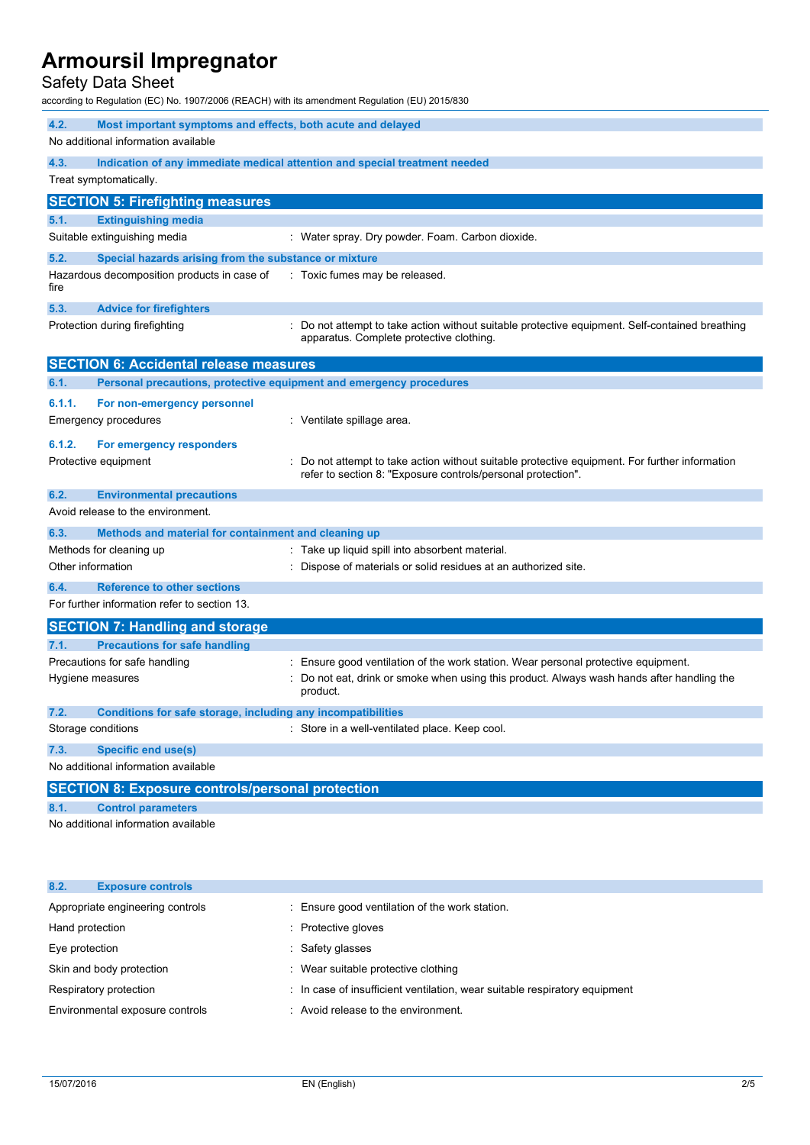Safety Data Sheet

according to Regulation (EC) No. 1907/2006 (REACH) with its amendment Regulation (EU) 2015/830

| 4.2.<br>Most important symptoms and effects, both acute and delayed  |                                                                                                                                                              |
|----------------------------------------------------------------------|--------------------------------------------------------------------------------------------------------------------------------------------------------------|
| No additional information available                                  |                                                                                                                                                              |
| 4.3.                                                                 | Indication of any immediate medical attention and special treatment needed                                                                                   |
| Treat symptomatically.                                               |                                                                                                                                                              |
| <b>SECTION 5: Firefighting measures</b>                              |                                                                                                                                                              |
| 5.1.<br><b>Extinguishing media</b>                                   |                                                                                                                                                              |
| Suitable extinguishing media                                         | : Water spray. Dry powder. Foam. Carbon dioxide.                                                                                                             |
| 5.2.<br>Special hazards arising from the substance or mixture        |                                                                                                                                                              |
| Hazardous decomposition products in case of<br>fire                  | : Toxic fumes may be released.                                                                                                                               |
| 5.3.<br><b>Advice for firefighters</b>                               |                                                                                                                                                              |
| Protection during firefighting                                       | Do not attempt to take action without suitable protective equipment. Self-contained breathing<br>apparatus. Complete protective clothing.                    |
| <b>SECTION 6: Accidental release measures</b>                        |                                                                                                                                                              |
| 6.1.                                                                 | Personal precautions, protective equipment and emergency procedures                                                                                          |
| 6.1.1.<br>For non-emergency personnel                                |                                                                                                                                                              |
| <b>Emergency procedures</b>                                          | : Ventilate spillage area.                                                                                                                                   |
| 6.1.2.<br>For emergency responders                                   |                                                                                                                                                              |
| Protective equipment                                                 | Do not attempt to take action without suitable protective equipment. For further information<br>refer to section 8: "Exposure controls/personal protection". |
| <b>Environmental precautions</b><br>6.2.                             |                                                                                                                                                              |
| Avoid release to the environment.                                    |                                                                                                                                                              |
| Methods and material for containment and cleaning up<br>6.3.         |                                                                                                                                                              |
| Methods for cleaning up                                              | : Take up liquid spill into absorbent material.                                                                                                              |
| Other information                                                    | Dispose of materials or solid residues at an authorized site.                                                                                                |
| <b>Reference to other sections</b><br>6.4.                           |                                                                                                                                                              |
| For further information refer to section 13.                         |                                                                                                                                                              |
| <b>SECTION 7: Handling and storage</b>                               |                                                                                                                                                              |
| 7.1.<br><b>Precautions for safe handling</b>                         |                                                                                                                                                              |
| Precautions for safe handling                                        | Ensure good ventilation of the work station. Wear personal protective equipment.                                                                             |
| Hygiene measures                                                     | Do not eat, drink or smoke when using this product. Always wash hands after handling the<br>product.                                                         |
| 7.2.<br>Conditions for safe storage, including any incompatibilities |                                                                                                                                                              |
| Storage conditions                                                   | : Store in a well-ventilated place. Keep cool.                                                                                                               |
| <b>Specific end use(s)</b><br>7.3.                                   |                                                                                                                                                              |
| No additional information available                                  |                                                                                                                                                              |
| <b>SECTION 8: Exposure controls/personal protection</b>              |                                                                                                                                                              |
| <b>Control parameters</b><br>8.1.                                    |                                                                                                                                                              |
| No additional information available                                  |                                                                                                                                                              |

| 8.2.<br><b>Exposure controls</b> |                                                                            |
|----------------------------------|----------------------------------------------------------------------------|
| Appropriate engineering controls | : Ensure good ventilation of the work station.                             |
| Hand protection                  | : Protective gloves                                                        |
| Eye protection                   | Safety glasses                                                             |
| Skin and body protection         | : Wear suitable protective clothing                                        |
| Respiratory protection           | : In case of insufficient ventilation, wear suitable respiratory equipment |
| Environmental exposure controls  | : Avoid release to the environment.                                        |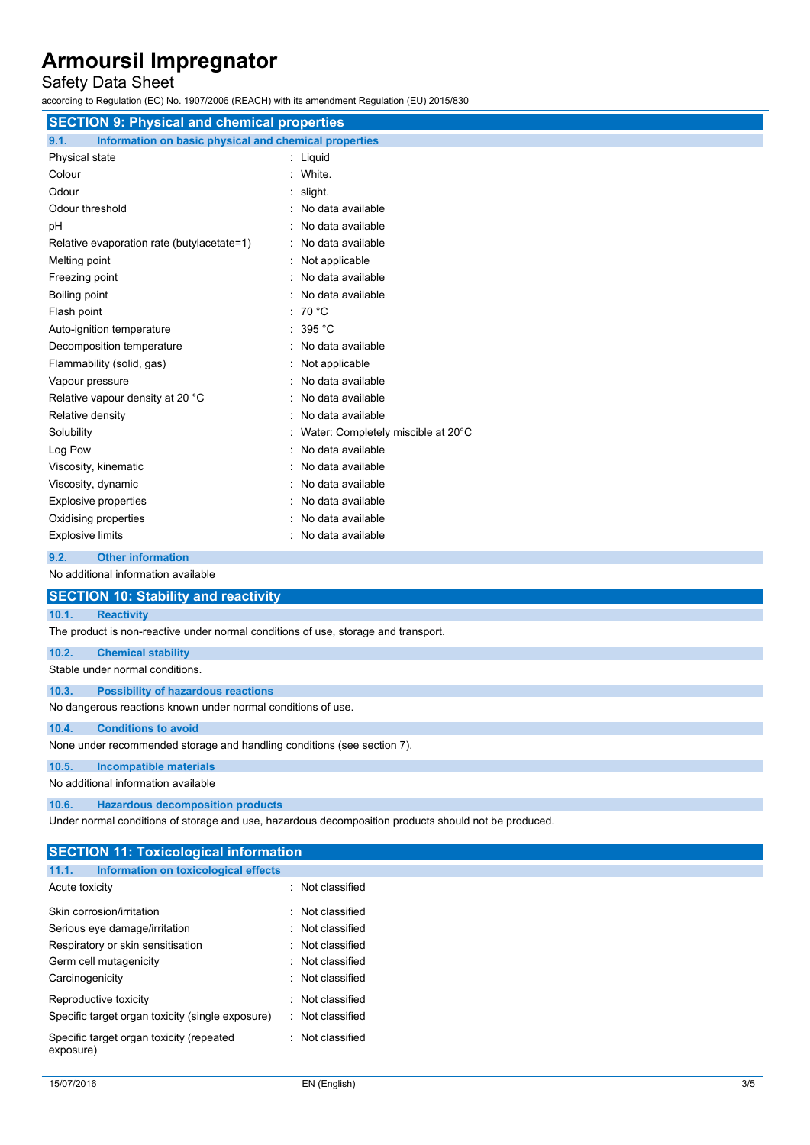## Safety Data Sheet

according to Regulation (EC) No. 1907/2006 (REACH) with its amendment Regulation (EU) 2015/830

| <b>SECTION 9: Physical and chemical properties</b>            |                                    |  |  |  |
|---------------------------------------------------------------|------------------------------------|--|--|--|
| 9.1.<br>Information on basic physical and chemical properties |                                    |  |  |  |
| Physical state                                                | : Liquid                           |  |  |  |
| Colour                                                        | : White.                           |  |  |  |
| Odour                                                         | slight.                            |  |  |  |
| Odour threshold                                               | : No data available                |  |  |  |
| pH                                                            | : No data available                |  |  |  |
| Relative evaporation rate (butylacetate=1)                    | : No data available                |  |  |  |
| Melting point                                                 | : Not applicable                   |  |  |  |
| Freezing point                                                | : No data available                |  |  |  |
| Boiling point                                                 | : No data available                |  |  |  |
| Flash point                                                   | $\cdot$ 70 °C                      |  |  |  |
| Auto-ignition temperature                                     | : $395 °C$                         |  |  |  |
| Decomposition temperature                                     | : No data available                |  |  |  |
| Flammability (solid, gas)                                     | : Not applicable                   |  |  |  |
| Vapour pressure                                               | : No data available                |  |  |  |
| Relative vapour density at 20 °C                              | No data available                  |  |  |  |
| Relative density                                              | No data available                  |  |  |  |
| Solubility                                                    | Water: Completely miscible at 20°C |  |  |  |
| Log Pow                                                       | No data available                  |  |  |  |
| Viscosity, kinematic                                          | No data available                  |  |  |  |
| Viscosity, dynamic                                            | : No data available                |  |  |  |
| <b>Explosive properties</b>                                   | No data available                  |  |  |  |
| Oxidising properties                                          | No data available                  |  |  |  |
| <b>Explosive limits</b>                                       | : No data available                |  |  |  |

### **9.2. Other information**

No additional information available

| <b>SECTION 10: Stability and reactivity</b>                                        |
|------------------------------------------------------------------------------------|
| 10.1.<br><b>Reactivity</b>                                                         |
| The product is non-reactive under normal conditions of use, storage and transport. |
| 10.2.<br><b>Chemical stability</b>                                                 |
| Stable under normal conditions.                                                    |
| <b>Possibility of hazardous reactions</b><br>10.3.                                 |
| No dangerous reactions known under normal conditions of use.                       |
| <b>Conditions to avoid</b><br>10.4.                                                |
| None under recommended storage and handling conditions (see section 7).            |
| <b>Incompatible materials</b><br>10.5.                                             |
| No additional information available                                                |
| 10.6.<br><b>Hazardous decomposition products</b>                                   |

Under normal conditions of storage and use, hazardous decomposition products should not be produced.

| <b>SECTION 11: Toxicological information</b> |                                                  |  |                  |
|----------------------------------------------|--------------------------------------------------|--|------------------|
| 11.1.                                        | Information on toxicological effects             |  |                  |
| Acute toxicity                               |                                                  |  | : Not classified |
|                                              | Skin corrosion/irritation                        |  | : Not classified |
|                                              | Serious eye damage/irritation                    |  | : Not classified |
|                                              | Respiratory or skin sensitisation                |  | : Not classified |
|                                              | Germ cell mutagenicity                           |  | : Not classified |
| Carcinogenicity                              |                                                  |  | : Not classified |
|                                              | Reproductive toxicity                            |  | : Not classified |
|                                              | Specific target organ toxicity (single exposure) |  | : Not classified |
| exposure)                                    | Specific target organ toxicity (repeated         |  | : Not classified |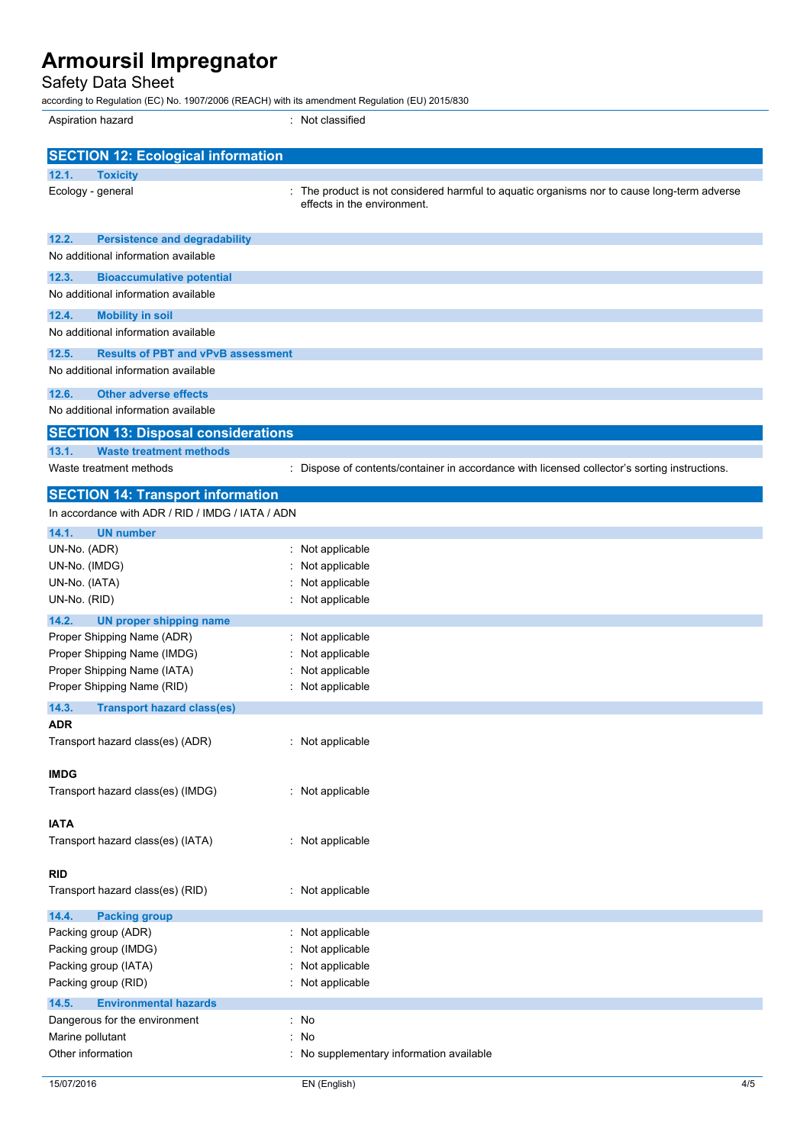Safety Data Sheet

according to Regulation (EC) No. 1907/2006 (REACH) with its amendment Regulation (EU) 2015/830

| Aspiration hazard                                                                | : Not classified                                                                                                         |
|----------------------------------------------------------------------------------|--------------------------------------------------------------------------------------------------------------------------|
| <b>SECTION 12: Ecological information</b>                                        |                                                                                                                          |
| 12.1.<br><b>Toxicity</b>                                                         |                                                                                                                          |
| Ecology - general                                                                | The product is not considered harmful to aquatic organisms nor to cause long-term adverse<br>effects in the environment. |
| 12.2.<br><b>Persistence and degradability</b>                                    |                                                                                                                          |
| No additional information available                                              |                                                                                                                          |
| 12.3.<br><b>Bioaccumulative potential</b><br>No additional information available |                                                                                                                          |
| 12.4.<br><b>Mobility in soil</b>                                                 |                                                                                                                          |
| No additional information available                                              |                                                                                                                          |
| 12.5.<br><b>Results of PBT and vPvB assessment</b>                               |                                                                                                                          |
| No additional information available                                              |                                                                                                                          |
| <b>Other adverse effects</b><br>12.6.                                            |                                                                                                                          |
| No additional information available                                              |                                                                                                                          |
| <b>SECTION 13: Disposal considerations</b>                                       |                                                                                                                          |
| 13.1.<br><b>Waste treatment methods</b><br>Waste treatment methods               |                                                                                                                          |
|                                                                                  | : Dispose of contents/container in accordance with licensed collector's sorting instructions.                            |
| <b>SECTION 14: Transport information</b>                                         |                                                                                                                          |
| In accordance with ADR / RID / IMDG / IATA / ADN                                 |                                                                                                                          |
| 14.1.<br><b>UN number</b>                                                        |                                                                                                                          |
| UN-No. (ADR)                                                                     | Not applicable<br>t.                                                                                                     |
| UN-No. (IMDG)                                                                    | Not applicable                                                                                                           |
| UN-No. (IATA)<br>UN-No. (RID)                                                    | Not applicable<br>Not applicable                                                                                         |
| 14.2.<br><b>UN proper shipping name</b>                                          |                                                                                                                          |
| Proper Shipping Name (ADR)                                                       | Not applicable                                                                                                           |
| Proper Shipping Name (IMDG)                                                      | Not applicable                                                                                                           |
| Proper Shipping Name (IATA)                                                      | Not applicable                                                                                                           |
| Proper Shipping Name (RID)                                                       | : Not applicable                                                                                                         |
| 14.3.<br><b>Transport hazard class(es)</b>                                       |                                                                                                                          |
| ADR                                                                              |                                                                                                                          |
| Transport hazard class(es) (ADR)                                                 | : Not applicable                                                                                                         |
| <b>IMDG</b>                                                                      |                                                                                                                          |
| Transport hazard class(es) (IMDG)                                                | : Not applicable                                                                                                         |
|                                                                                  |                                                                                                                          |
| <b>IATA</b><br>Transport hazard class(es) (IATA)                                 | : Not applicable                                                                                                         |
|                                                                                  |                                                                                                                          |
| <b>RID</b>                                                                       |                                                                                                                          |
| Transport hazard class(es) (RID)                                                 | : Not applicable                                                                                                         |
| 14.4.<br><b>Packing group</b>                                                    |                                                                                                                          |
| Packing group (ADR)                                                              | : Not applicable                                                                                                         |
| Packing group (IMDG)                                                             | Not applicable                                                                                                           |
| Packing group (IATA)                                                             | Not applicable                                                                                                           |
| Packing group (RID)                                                              | : Not applicable                                                                                                         |
| 14.5.<br><b>Environmental hazards</b>                                            |                                                                                                                          |
| Dangerous for the environment                                                    | : No                                                                                                                     |
| Marine pollutant<br>Other information                                            | No                                                                                                                       |
|                                                                                  | No supplementary information available                                                                                   |